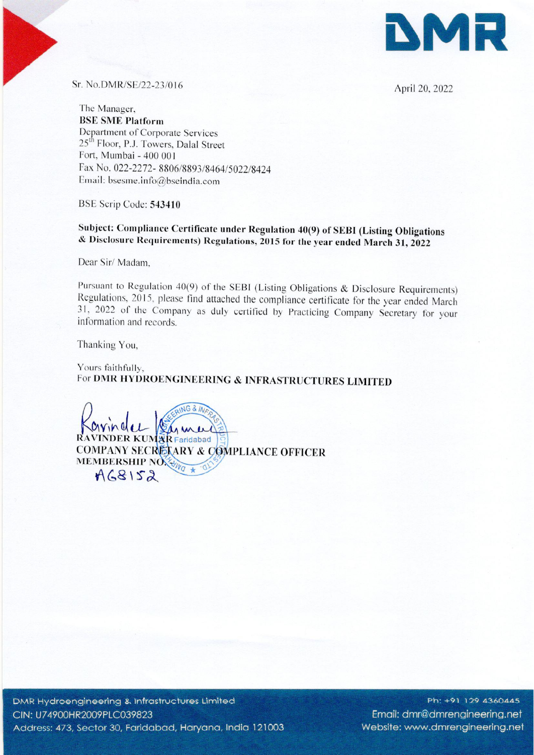

Sr. No.DMR/SE/22-23/016 April 20, 2022

The Manager, BSE SME Platform Department of Corporate Services 25<sup>th</sup> Floor, P.J. Towers, Dalal Street Fort, Mumbai- <sup>400</sup> <sup>001</sup> Fax No. 022-2272- 8806/8893/8464/5022/8424 Email: bsesme.info@bseindia.com

BSE Scrip Code: 543410

Subject: Compliance Certificate under Regulation 40(9) of SEBI (Listing Obligations & Disclosure Requirements) Regulations, <sup>2015</sup> for the year ended March 31, <sup>2022</sup>

Dear Sir/ Madam,

Pursuant to Regulation 40(9) of the SEBI (Listing Obligations & Disclosure Requirements)<br>Regulations, 2015, please find attached the compliance certificate for the year ended March<br>31, 2022 of the Company as duly certified

Thanking You,

Yours faithfully, For DMR HYDROENGINEERING & INFRASTRUCTURES LIMITED

NG & INC **AETARY & COMPLIANCE OFFICER**  $VINDER$  KUMAR Faridabad Solutions Scheme and the Company of the Company of the Company of the Company of the Company of the Company of the Company of the Company of the Company of the Company of the Company of the Company of the Company of the C

Ph: +91 129 4360445 Email: dmr@dmrengineering.net Website: www.dmrengineering.net